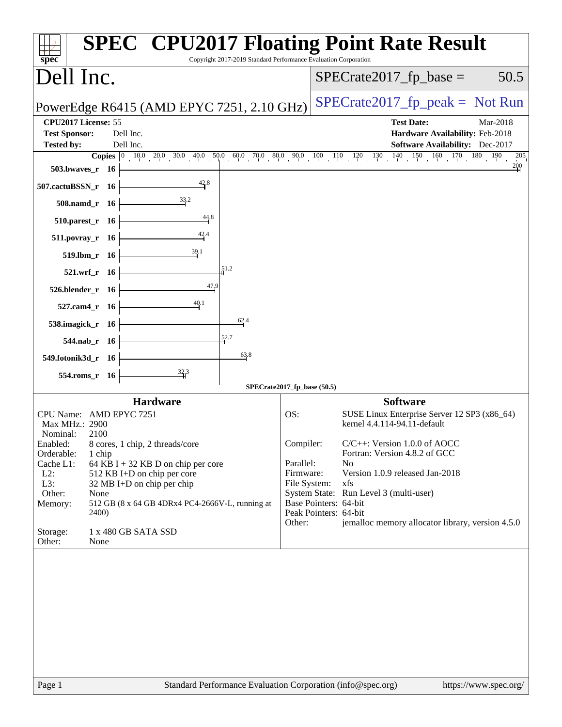| $spec^*$                                                                                                                                                                                                                                                                                                                                                                                                                               | <b>SPEC<sup>®</sup> CPU2017 Floating Point Rate Result</b><br>Copyright 2017-2019 Standard Performance Evaluation Corporation                                                                                                                                                                                                                                                                                                                                                          |
|----------------------------------------------------------------------------------------------------------------------------------------------------------------------------------------------------------------------------------------------------------------------------------------------------------------------------------------------------------------------------------------------------------------------------------------|----------------------------------------------------------------------------------------------------------------------------------------------------------------------------------------------------------------------------------------------------------------------------------------------------------------------------------------------------------------------------------------------------------------------------------------------------------------------------------------|
| Dell Inc.                                                                                                                                                                                                                                                                                                                                                                                                                              | 50.5<br>$SPECrate2017_fp\_base =$                                                                                                                                                                                                                                                                                                                                                                                                                                                      |
| PowerEdge R6415 (AMD EPYC 7251, 2.10 GHz)                                                                                                                                                                                                                                                                                                                                                                                              | $SPECrate2017fr peak = Not Run$                                                                                                                                                                                                                                                                                                                                                                                                                                                        |
| CPU2017 License: 55<br><b>Test Sponsor:</b><br>Dell Inc.<br><b>Tested by:</b><br>Dell Inc.<br>503.bwaves_r 16<br>$\frac{42.8}{4}$<br>507.cactuBSSN_r 16<br>508.namd_r 16<br>44.8<br>$510.parest_r$ 16<br>$511. povray_r$ 16<br>519.lbm_r 16<br>51.2<br>521.wrf_r 16<br>47,9<br>526.blender_r 16<br>$\frac{40.1}{4}$<br>527.cam4_r 16<br>62.4<br>538.imagick_r 16<br>52.7<br>544.nab_r 16<br>63.8                                       | <b>Test Date:</b><br>Mar-2018<br>Hardware Availability: Feb-2018<br><b>Software Availability:</b> Dec-2017<br>205<br>$\frac{200}{4}$                                                                                                                                                                                                                                                                                                                                                   |
| 549.fotonik3d_r 16<br>554.roms_r 16                                                                                                                                                                                                                                                                                                                                                                                                    |                                                                                                                                                                                                                                                                                                                                                                                                                                                                                        |
| <b>Hardware</b><br>CPU Name: AMD EPYC 7251<br>Max MHz.: 2900<br>2100<br>Nominal:<br>Enabled:<br>8 cores, 1 chip, 2 threads/core<br>Orderable:<br>1 chip<br>Cache L1:<br>64 KB I + 32 KB D on chip per core<br>$L2$ :<br>512 KB I+D on chip per core<br>L3:<br>32 MB I+D on chip per chip<br>Other:<br>None<br>Memory:<br>512 GB (8 x 64 GB 4DRx4 PC4-2666V-L, running at<br>2400)<br>Storage:<br>1 x 480 GB SATA SSD<br>Other:<br>None | SPECrate2017_fp_base (50.5)<br><b>Software</b><br>OS:<br>SUSE Linux Enterprise Server 12 SP3 (x86_64)<br>kernel 4.4.114-94.11-default<br>$C/C++$ : Version 1.0.0 of AOCC<br>Compiler:<br>Fortran: Version 4.8.2 of GCC<br>Parallel:<br>N <sub>0</sub><br>Firmware:<br>Version 1.0.9 released Jan-2018<br>File System:<br>xfs<br>System State: Run Level 3 (multi-user)<br>Base Pointers: 64-bit<br>Peak Pointers: 64-bit<br>jemalloc memory allocator library, version 4.5.0<br>Other: |
| Page 1                                                                                                                                                                                                                                                                                                                                                                                                                                 | Standard Performance Evaluation Corporation (info@spec.org)<br>https://www.spec.org/                                                                                                                                                                                                                                                                                                                                                                                                   |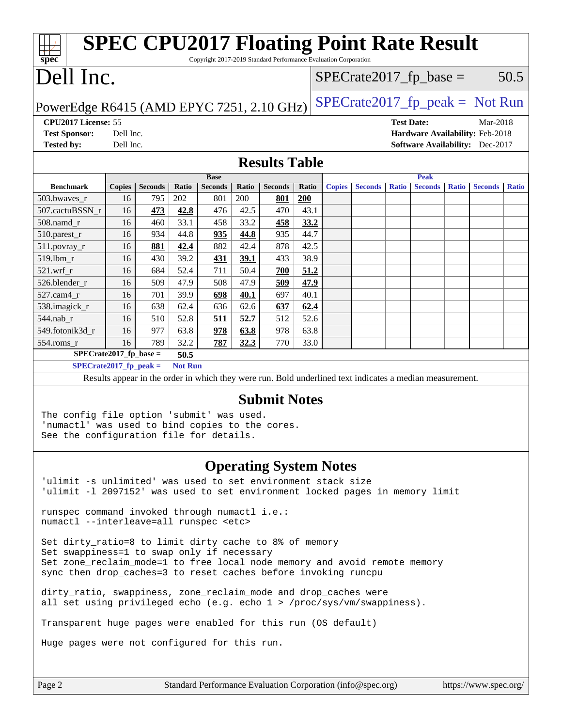| spec <sup>®</sup>                                                                                                                                                             |               |                |                | Copyright 2017-2019 Standard Performance Evaluation Corporation |              |                      |       |               | <b>SPEC CPU2017 Floating Point Rate Result</b>                                                           |              |                   |              |                                             |              |
|-------------------------------------------------------------------------------------------------------------------------------------------------------------------------------|---------------|----------------|----------------|-----------------------------------------------------------------|--------------|----------------------|-------|---------------|----------------------------------------------------------------------------------------------------------|--------------|-------------------|--------------|---------------------------------------------|--------------|
| Dell Inc.                                                                                                                                                                     |               |                |                |                                                                 |              |                      |       |               | $SPECrate2017_fp\_base =$                                                                                |              |                   |              |                                             | 50.5         |
| $SPECrate2017_fp\_peak = Not Run$<br>PowerEdge R6415 (AMD EPYC 7251, 2.10 GHz)                                                                                                |               |                |                |                                                                 |              |                      |       |               |                                                                                                          |              |                   |              |                                             |              |
| <b>CPU2017 License: 55</b><br><b>Test Sponsor:</b>                                                                                                                            | Dell Inc.     |                |                |                                                                 |              |                      |       |               |                                                                                                          |              | <b>Test Date:</b> |              | Mar-2018<br>Hardware Availability: Feb-2018 |              |
| <b>Tested by:</b>                                                                                                                                                             | Dell Inc.     |                |                |                                                                 |              |                      |       |               |                                                                                                          |              |                   |              | Software Availability: Dec-2017             |              |
|                                                                                                                                                                               |               |                |                |                                                                 |              | <b>Results Table</b> |       |               |                                                                                                          |              |                   |              |                                             |              |
|                                                                                                                                                                               |               |                |                | <b>Base</b>                                                     |              |                      |       |               |                                                                                                          |              | <b>Peak</b>       |              |                                             |              |
| <b>Benchmark</b>                                                                                                                                                              | <b>Copies</b> | <b>Seconds</b> | Ratio          | <b>Seconds</b>                                                  | <b>Ratio</b> | <b>Seconds</b>       | Ratio | <b>Copies</b> | <b>Seconds</b>                                                                                           | <b>Ratio</b> | <b>Seconds</b>    | <b>Ratio</b> | <b>Seconds</b>                              | <b>Ratio</b> |
| 503.bwaves r                                                                                                                                                                  | 16            | 795            | 202            | 801                                                             | 200          | 801                  | 200   |               |                                                                                                          |              |                   |              |                                             |              |
| 507.cactuBSSN_r                                                                                                                                                               | 16            | 473            | 42.8           | 476                                                             | 42.5         | 470                  | 43.1  |               |                                                                                                          |              |                   |              |                                             |              |
| 508.namd r                                                                                                                                                                    | 16            | 460            | 33.1           | 458                                                             | 33.2         | 458                  | 33.2  |               |                                                                                                          |              |                   |              |                                             |              |
| 510.parest_r                                                                                                                                                                  | 16            | 934            | 44.8           | 935                                                             | 44.8         | 935                  | 44.7  |               |                                                                                                          |              |                   |              |                                             |              |
| $511.povray_r$                                                                                                                                                                | 16            | 881            | 42.4           | 882                                                             | 42.4         | 878                  | 42.5  |               |                                                                                                          |              |                   |              |                                             |              |
| 519.lbm_r                                                                                                                                                                     | 16            | 430            | 39.2           | 431                                                             | 39.1         | 433                  | 38.9  |               |                                                                                                          |              |                   |              |                                             |              |
| $521.wrf_r$                                                                                                                                                                   | 16            | 684            | 52.4           | 711                                                             | 50.4         | 700                  | 51.2  |               |                                                                                                          |              |                   |              |                                             |              |
| 526.blender r                                                                                                                                                                 | 16            | 509            | 47.9           | 508                                                             | 47.9         | 509                  | 47.9  |               |                                                                                                          |              |                   |              |                                             |              |
| $527$ .cam $4r$                                                                                                                                                               | 16            | 701            | 39.9           | 698                                                             | <u>40.1</u>  | 697                  | 40.1  |               |                                                                                                          |              |                   |              |                                             |              |
| 538.imagick_r                                                                                                                                                                 | 16            | 638            | 62.4           | 636                                                             | 62.6         | 637                  | 62.4  |               |                                                                                                          |              |                   |              |                                             |              |
| 544.nab_r                                                                                                                                                                     | 16            | 510            | 52.8           | 511                                                             | 52.7         | 512                  | 52.6  |               |                                                                                                          |              |                   |              |                                             |              |
| 549.fotonik3d r                                                                                                                                                               | 16            | 977            | 63.8           | 978                                                             | 63.8         | 978                  | 63.8  |               |                                                                                                          |              |                   |              |                                             |              |
| $554$ .roms $r$                                                                                                                                                               | 16            | 789            | 32.2           | 787                                                             | 32.3         | 770                  | 33.0  |               |                                                                                                          |              |                   |              |                                             |              |
| $SPECrate2017_fp\_base =$                                                                                                                                                     |               |                | 50.5           |                                                                 |              |                      |       |               |                                                                                                          |              |                   |              |                                             |              |
| $SPECrate2017_fp\_peak =$                                                                                                                                                     |               |                | <b>Not Run</b> |                                                                 |              |                      |       |               |                                                                                                          |              |                   |              |                                             |              |
|                                                                                                                                                                               |               |                |                |                                                                 |              |                      |       |               | Results appear in the order in which they were run. Bold underlined text indicates a median measurement. |              |                   |              |                                             |              |
| <b>Submit Notes</b>                                                                                                                                                           |               |                |                |                                                                 |              |                      |       |               |                                                                                                          |              |                   |              |                                             |              |
| The config file option 'submit' was used.<br>'numactl' was used to bind copies to the cores.<br>See the configuration file for details.                                       |               |                |                |                                                                 |              |                      |       |               |                                                                                                          |              |                   |              |                                             |              |
| <b>Operating System Notes</b><br>'ulimit -s unlimited' was used to set environment stack size<br>'ulimit -1 2097152' was used to set environment locked pages in memory limit |               |                |                |                                                                 |              |                      |       |               |                                                                                                          |              |                   |              |                                             |              |

runspec command invoked through numactl i.e.: numactl --interleave=all runspec <etc>

Set dirty\_ratio=8 to limit dirty cache to 8% of memory Set swappiness=1 to swap only if necessary Set zone\_reclaim\_mode=1 to free local node memory and avoid remote memory sync then drop\_caches=3 to reset caches before invoking runcpu

dirty\_ratio, swappiness, zone\_reclaim\_mode and drop\_caches were all set using privileged echo (e.g. echo 1 > /proc/sys/vm/swappiness).

Transparent huge pages were enabled for this run (OS default)

Huge pages were not configured for this run.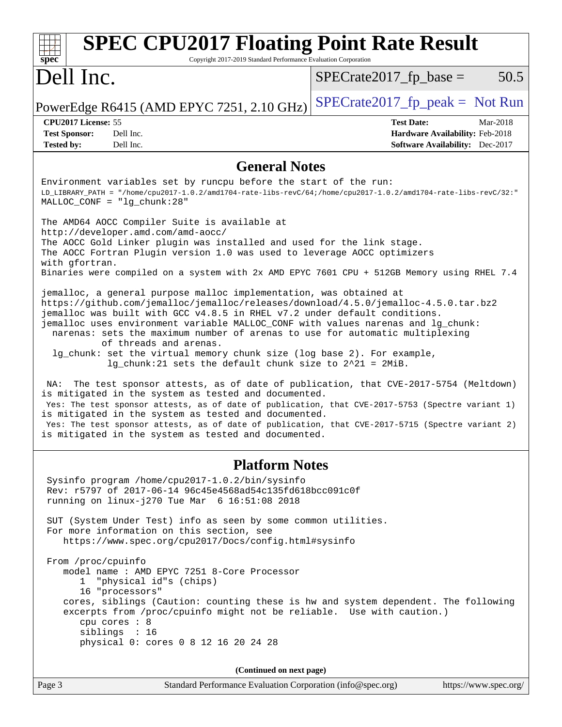| <b>SPEC CPU2017 Floating Point Rate Result</b><br>spec <sup>®</sup><br>Copyright 2017-2019 Standard Performance Evaluation Corporation                                                                                                                                                                                                                                                                                                                                                                                                                                                                                                                                                                                                                                                                                                                                                                                                                                                                                                                                                                                                                                                                                                                                                                                                                                                                                                                                                                                                                                                         |                                                                                                            |
|------------------------------------------------------------------------------------------------------------------------------------------------------------------------------------------------------------------------------------------------------------------------------------------------------------------------------------------------------------------------------------------------------------------------------------------------------------------------------------------------------------------------------------------------------------------------------------------------------------------------------------------------------------------------------------------------------------------------------------------------------------------------------------------------------------------------------------------------------------------------------------------------------------------------------------------------------------------------------------------------------------------------------------------------------------------------------------------------------------------------------------------------------------------------------------------------------------------------------------------------------------------------------------------------------------------------------------------------------------------------------------------------------------------------------------------------------------------------------------------------------------------------------------------------------------------------------------------------|------------------------------------------------------------------------------------------------------------|
| Dell Inc.                                                                                                                                                                                                                                                                                                                                                                                                                                                                                                                                                                                                                                                                                                                                                                                                                                                                                                                                                                                                                                                                                                                                                                                                                                                                                                                                                                                                                                                                                                                                                                                      | 50.5<br>$SPECrate2017_fp\_base =$                                                                          |
| PowerEdge R6415 (AMD EPYC 7251, 2.10 GHz)                                                                                                                                                                                                                                                                                                                                                                                                                                                                                                                                                                                                                                                                                                                                                                                                                                                                                                                                                                                                                                                                                                                                                                                                                                                                                                                                                                                                                                                                                                                                                      | $SPECrate2017fr peak = Not Run$                                                                            |
| CPU2017 License: 55<br><b>Test Sponsor:</b><br>Dell Inc.<br><b>Tested by:</b><br>Dell Inc.                                                                                                                                                                                                                                                                                                                                                                                                                                                                                                                                                                                                                                                                                                                                                                                                                                                                                                                                                                                                                                                                                                                                                                                                                                                                                                                                                                                                                                                                                                     | <b>Test Date:</b><br>Mar-2018<br>Hardware Availability: Feb-2018<br><b>Software Availability:</b> Dec-2017 |
| <b>General Notes</b>                                                                                                                                                                                                                                                                                                                                                                                                                                                                                                                                                                                                                                                                                                                                                                                                                                                                                                                                                                                                                                                                                                                                                                                                                                                                                                                                                                                                                                                                                                                                                                           |                                                                                                            |
| Environment variables set by runcpu before the start of the run:<br>LD_LIBRARY_PATH = "/home/cpu2017-1.0.2/amd1704-rate-libs-revC/64;/home/cpu2017-1.0.2/amd1704-rate-libs-revC/32:"<br>$MALLOC\_CONF = "lg_chunk:28"$<br>The AMD64 AOCC Compiler Suite is available at<br>http://developer.amd.com/amd-aocc/<br>The AOCC Gold Linker plugin was installed and used for the link stage.<br>The AOCC Fortran Plugin version 1.0 was used to leverage AOCC optimizers<br>with gfortran.<br>Binaries were compiled on a system with 2x AMD EPYC 7601 CPU + 512GB Memory using RHEL 7.4<br>jemalloc, a general purpose malloc implementation, was obtained at<br>https://github.com/jemalloc/jemalloc/releases/download/4.5.0/jemalloc-4.5.0.tar.bz2<br>jemalloc was built with GCC v4.8.5 in RHEL v7.2 under default conditions.<br>jemalloc uses environment variable MALLOC_CONF with values narenas and lg_chunk:<br>narenas: sets the maximum number of arenas to use for automatic multiplexing<br>of threads and arenas.<br>lg_chunk: set the virtual memory chunk size (log base 2). For example,<br>$lg_c$ chunk: 21 sets the default chunk size to $2^2$ 21 = 2MiB.<br>The test sponsor attests, as of date of publication, that CVE-2017-5754 (Meltdown)<br>NA:<br>is mitigated in the system as tested and documented.<br>Yes: The test sponsor attests, as of date of publication, that CVE-2017-5753 (Spectre variant 1)<br>is mitigated in the system as tested and documented.<br>Yes: The test sponsor attests, as of date of publication, that CVE-2017-5715 (Spectre variant 2) |                                                                                                            |
| is mitigated in the system as tested and documented.                                                                                                                                                                                                                                                                                                                                                                                                                                                                                                                                                                                                                                                                                                                                                                                                                                                                                                                                                                                                                                                                                                                                                                                                                                                                                                                                                                                                                                                                                                                                           |                                                                                                            |
| <b>Platform Notes</b><br>Sysinfo program /home/cpu2017-1.0.2/bin/sysinfo<br>Rev: r5797 of 2017-06-14 96c45e4568ad54c135fd618bcc091c0f<br>running on linux-j270 Tue Mar 6 16:51:08 2018                                                                                                                                                                                                                                                                                                                                                                                                                                                                                                                                                                                                                                                                                                                                                                                                                                                                                                                                                                                                                                                                                                                                                                                                                                                                                                                                                                                                         |                                                                                                            |
| SUT (System Under Test) info as seen by some common utilities.<br>For more information on this section, see<br>https://www.spec.org/cpu2017/Docs/config.html#sysinfo                                                                                                                                                                                                                                                                                                                                                                                                                                                                                                                                                                                                                                                                                                                                                                                                                                                                                                                                                                                                                                                                                                                                                                                                                                                                                                                                                                                                                           |                                                                                                            |
| From /proc/cpuinfo<br>model name: AMD EPYC 7251 8-Core Processor<br>"physical id"s (chips)<br>$1 \quad$<br>16 "processors"<br>cores, siblings (Caution: counting these is hw and system dependent. The following<br>excerpts from /proc/cpuinfo might not be reliable. Use with caution.)<br>cpu cores : 8<br>siblings : 16<br>physical 0: cores 0 8 12 16 20 24 28                                                                                                                                                                                                                                                                                                                                                                                                                                                                                                                                                                                                                                                                                                                                                                                                                                                                                                                                                                                                                                                                                                                                                                                                                            |                                                                                                            |
| (Continued on next page)                                                                                                                                                                                                                                                                                                                                                                                                                                                                                                                                                                                                                                                                                                                                                                                                                                                                                                                                                                                                                                                                                                                                                                                                                                                                                                                                                                                                                                                                                                                                                                       |                                                                                                            |
| Page 3<br>Standard Performance Evaluation Corporation (info@spec.org)                                                                                                                                                                                                                                                                                                                                                                                                                                                                                                                                                                                                                                                                                                                                                                                                                                                                                                                                                                                                                                                                                                                                                                                                                                                                                                                                                                                                                                                                                                                          | https://www.spec.org/                                                                                      |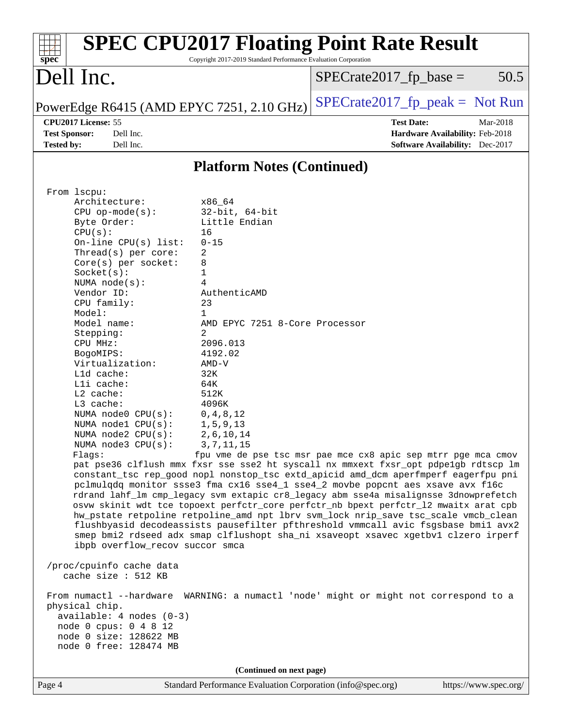| <b>SPEC CPU2017 Floating Point Rate Result</b><br>spec<br>Copyright 2017-2019 Standard Performance Evaluation Corporation                                                                                                                                                                                                                                                                                                                                                                                                                                                                                                                                                                                                                                                                                                                                                   |                                                               |
|-----------------------------------------------------------------------------------------------------------------------------------------------------------------------------------------------------------------------------------------------------------------------------------------------------------------------------------------------------------------------------------------------------------------------------------------------------------------------------------------------------------------------------------------------------------------------------------------------------------------------------------------------------------------------------------------------------------------------------------------------------------------------------------------------------------------------------------------------------------------------------|---------------------------------------------------------------|
| Dell Inc.                                                                                                                                                                                                                                                                                                                                                                                                                                                                                                                                                                                                                                                                                                                                                                                                                                                                   | 50.5<br>$SPECrate2017_fp\_base =$                             |
| PowerEdge R6415 (AMD EPYC 7251, 2.10 GHz)                                                                                                                                                                                                                                                                                                                                                                                                                                                                                                                                                                                                                                                                                                                                                                                                                                   | $SPECrate2017_fp_peak = Not Run$                              |
| CPU2017 License: 55                                                                                                                                                                                                                                                                                                                                                                                                                                                                                                                                                                                                                                                                                                                                                                                                                                                         | <b>Test Date:</b><br>Mar-2018                                 |
| <b>Test Sponsor:</b><br>Dell Inc.                                                                                                                                                                                                                                                                                                                                                                                                                                                                                                                                                                                                                                                                                                                                                                                                                                           | Hardware Availability: Feb-2018                               |
| <b>Tested by:</b><br>Dell Inc.                                                                                                                                                                                                                                                                                                                                                                                                                                                                                                                                                                                                                                                                                                                                                                                                                                              | <b>Software Availability:</b> Dec-2017                        |
| <b>Platform Notes (Continued)</b>                                                                                                                                                                                                                                                                                                                                                                                                                                                                                                                                                                                                                                                                                                                                                                                                                                           |                                                               |
| $32$ -bit, $64$ -bit<br>$CPU$ op-mode( $s$ ):<br>Little Endian<br>Byte Order:<br>CPU(s):<br>16<br>On-line CPU(s) list:<br>$0 - 15$<br>Thread(s) per core:<br>2<br>$Core(s)$ per socket:<br>8<br>Socket(s):<br>1<br>4<br>NUMA $node(s)$ :<br>Vendor ID:<br>AuthenticAMD<br>CPU family:<br>23<br>Model:<br>$\mathbf{1}$<br>Model name:<br>AMD EPYC 7251 8-Core Processor<br>2<br>Stepping:<br>2096.013<br>CPU MHz:<br>4192.02<br>BogoMIPS:<br>Virtualization:<br>$AMD-V$<br>L1d cache:<br>32K<br>Lli cache:<br>64K<br>L2 cache:<br>512K<br>L3 cache:<br>4096K<br>NUMA node0 CPU(s):<br>0, 4, 8, 12                                                                                                                                                                                                                                                                            |                                                               |
| NUMA nodel CPU(s):<br>1, 5, 9, 13<br>NUMA $node2$ $CPU(s)$ :<br>2,6,10,14<br>3, 7, 11, 15<br>NUMA node3 CPU(s):<br>Flags:<br>pat pse36 clflush mmx fxsr sse sse2 ht syscall nx mmxext fxsr_opt pdpe1gb rdtscp lm<br>constant_tsc rep_good nopl nonstop_tsc extd_apicid amd_dcm aperfmperf eagerfpu pni<br>pclmulqdq monitor ssse3 fma cx16 sse4_1 sse4_2 movbe popcnt aes xsave avx f16c<br>rdrand lahf_lm cmp_legacy svm extapic cr8_legacy abm sse4a misalignsse 3dnowprefetch<br>osvw skinit wdt tce topoext perfctr_core perfctr_nb bpext perfctr_12 mwaitx arat cpb<br>hw_pstate retpoline retpoline_amd npt lbrv svm_lock nrip_save tsc_scale vmcb_clean<br>flushbyasid decodeassists pausefilter pfthreshold vmmcall avic fsgsbase bmil avx2<br>smep bmi2 rdseed adx smap clflushopt sha_ni xsaveopt xsavec xgetbvl clzero irperf<br>ibpb overflow_recov succor smca | fpu vme de pse tsc msr pae mce cx8 apic sep mtrr pge mca cmov |
| /proc/cpuinfo cache data<br>cache size : 512 KB<br>From numactl --hardware WARNING: a numactl 'node' might or might not correspond to a<br>physical chip.<br>available: 4 nodes (0-3)<br>node 0 cpus: 0 4 8 12<br>node 0 size: 128622 MB<br>node 0 free: 128474 MB                                                                                                                                                                                                                                                                                                                                                                                                                                                                                                                                                                                                          |                                                               |
| (Continued on next page)                                                                                                                                                                                                                                                                                                                                                                                                                                                                                                                                                                                                                                                                                                                                                                                                                                                    |                                                               |
| Standard Performance Evaluation Corporation (info@spec.org)<br>Page 4                                                                                                                                                                                                                                                                                                                                                                                                                                                                                                                                                                                                                                                                                                                                                                                                       | https://www.spec.org/                                         |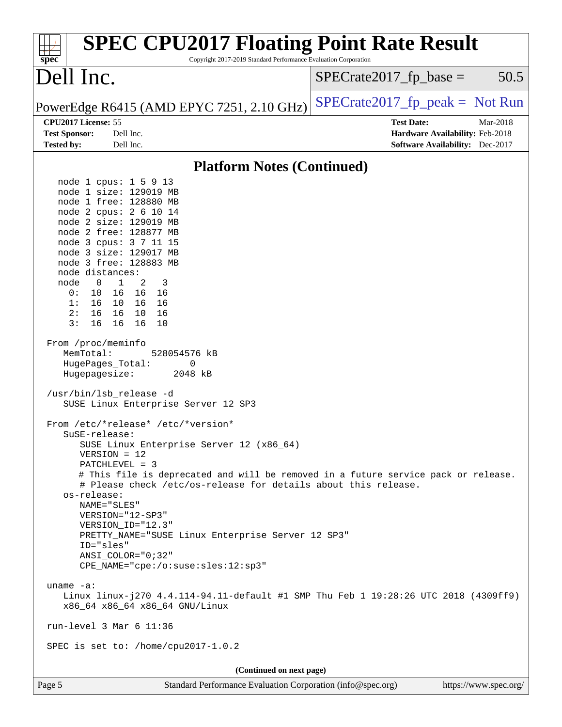| <b>SPEC CPU2017 Floating Point Rate Result</b><br>Copyright 2017-2019 Standard Performance Evaluation Corporation<br>spec <sup>®</sup>                                                                                                                                                                                                                                                                                                                                                                                                                                                                                                                                                                                                                                                                                                                                                                                                                                                                                                                                                                                                                                                                                                                                                                                         |                                 |                                                                                |
|--------------------------------------------------------------------------------------------------------------------------------------------------------------------------------------------------------------------------------------------------------------------------------------------------------------------------------------------------------------------------------------------------------------------------------------------------------------------------------------------------------------------------------------------------------------------------------------------------------------------------------------------------------------------------------------------------------------------------------------------------------------------------------------------------------------------------------------------------------------------------------------------------------------------------------------------------------------------------------------------------------------------------------------------------------------------------------------------------------------------------------------------------------------------------------------------------------------------------------------------------------------------------------------------------------------------------------|---------------------------------|--------------------------------------------------------------------------------|
| Dell Inc.                                                                                                                                                                                                                                                                                                                                                                                                                                                                                                                                                                                                                                                                                                                                                                                                                                                                                                                                                                                                                                                                                                                                                                                                                                                                                                                      | $SPECrate2017_fp\_base =$       | 50.5                                                                           |
| PowerEdge R6415 (AMD EPYC 7251, 2.10 GHz)                                                                                                                                                                                                                                                                                                                                                                                                                                                                                                                                                                                                                                                                                                                                                                                                                                                                                                                                                                                                                                                                                                                                                                                                                                                                                      | $SPECrate2017fr peak = Not Run$ |                                                                                |
| CPU2017 License: 55<br><b>Test Sponsor:</b><br>Dell Inc.<br>Dell Inc.<br><b>Tested by:</b>                                                                                                                                                                                                                                                                                                                                                                                                                                                                                                                                                                                                                                                                                                                                                                                                                                                                                                                                                                                                                                                                                                                                                                                                                                     | <b>Test Date:</b>               | Mar-2018<br>Hardware Availability: Feb-2018<br>Software Availability: Dec-2017 |
| <b>Platform Notes (Continued)</b>                                                                                                                                                                                                                                                                                                                                                                                                                                                                                                                                                                                                                                                                                                                                                                                                                                                                                                                                                                                                                                                                                                                                                                                                                                                                                              |                                 |                                                                                |
| node 1 cpus: 1 5 9 13<br>node 1 size: 129019 MB<br>node 1 free: 128880 MB<br>node 2 cpus: 2 6 10 14<br>node 2 size: 129019 MB<br>node 2 free: 128877 MB<br>node 3 cpus: 3 7 11 15<br>node 3 size: 129017 MB<br>node 3 free: 128883 MB<br>node distances:<br>$\mathbf{1}$<br>node<br>$\overline{\phantom{0}}$<br>2<br>3<br>0 :<br>10<br>16 16<br>- 16<br>16 10 16<br>16<br>1:<br>16 10<br>2:<br>16<br>16<br>3:<br>16<br>16 16<br>10<br>From /proc/meminfo<br>MemTotal:<br>528054576 kB<br>HugePages_Total:<br>0<br>Hugepagesize:<br>2048 kB<br>/usr/bin/lsb_release -d<br>SUSE Linux Enterprise Server 12 SP3<br>From /etc/*release* /etc/*version*<br>SuSE-release:<br>SUSE Linux Enterprise Server 12 (x86_64)<br>$VERSION = 12$<br>PATCHLEVEL = 3<br># This file is deprecated and will be removed in a future service pack or release.<br># Please check /etc/os-release for details about this release.<br>os-release:<br>NAME="SLES"<br>VERSION="12-SP3"<br>VERSION_ID="12.3"<br>PRETTY_NAME="SUSE Linux Enterprise Server 12 SP3"<br>ID="sles"<br>ANSI COLOR="0;32"<br>CPE_NAME="cpe:/o:suse:sles:12:sp3"<br>uname $-a$ :<br>Linux linux-j270 4.4.114-94.11-default #1 SMP Thu Feb 1 19:28:26 UTC 2018 (4309ff9)<br>x86_64 x86_64 x86_64 GNU/Linux<br>run-level $3$ Mar $6$ 11:36<br>SPEC is set to: /home/cpu2017-1.0.2 |                                 |                                                                                |
| (Continued on next page)                                                                                                                                                                                                                                                                                                                                                                                                                                                                                                                                                                                                                                                                                                                                                                                                                                                                                                                                                                                                                                                                                                                                                                                                                                                                                                       |                                 |                                                                                |
| Standard Performance Evaluation Corporation (info@spec.org)<br>Page 5                                                                                                                                                                                                                                                                                                                                                                                                                                                                                                                                                                                                                                                                                                                                                                                                                                                                                                                                                                                                                                                                                                                                                                                                                                                          |                                 | https://www.spec.org/                                                          |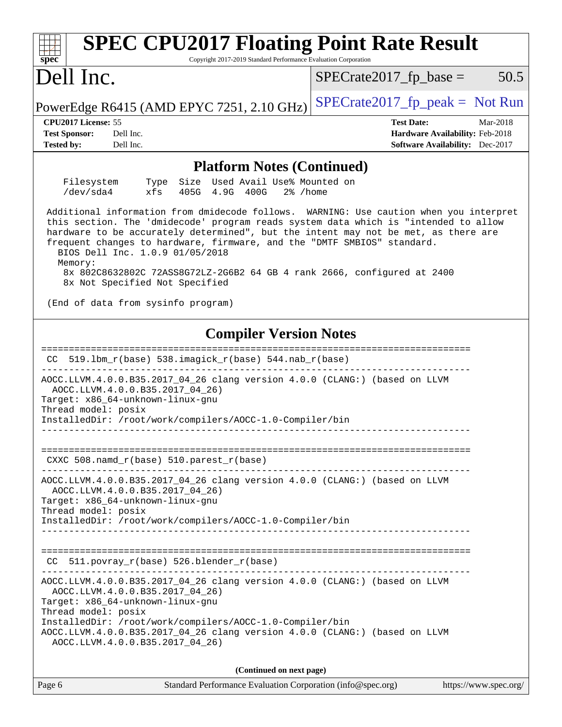| <b>SPEC CPU2017 Floating Point Rate Result</b><br>spec<br>Copyright 2017-2019 Standard Performance Evaluation Corporation                                                                                                                                                                                                                                                                                                                                                                                 |                                                                           |
|-----------------------------------------------------------------------------------------------------------------------------------------------------------------------------------------------------------------------------------------------------------------------------------------------------------------------------------------------------------------------------------------------------------------------------------------------------------------------------------------------------------|---------------------------------------------------------------------------|
| Dell Inc.                                                                                                                                                                                                                                                                                                                                                                                                                                                                                                 | 50.5<br>$SPECrate2017_fp\_base =$                                         |
| PowerEdge R6415 (AMD EPYC 7251, 2.10 GHz)                                                                                                                                                                                                                                                                                                                                                                                                                                                                 | $SPECrate2017_fp\_peak = Not Run$                                         |
| CPU <sub>2017</sub> License: 55                                                                                                                                                                                                                                                                                                                                                                                                                                                                           | <b>Test Date:</b><br>Mar-2018                                             |
| <b>Test Sponsor:</b><br>Dell Inc.<br><b>Tested by:</b><br>Dell Inc.                                                                                                                                                                                                                                                                                                                                                                                                                                       | Hardware Availability: Feb-2018<br><b>Software Availability:</b> Dec-2017 |
| <b>Platform Notes (Continued)</b>                                                                                                                                                                                                                                                                                                                                                                                                                                                                         |                                                                           |
| Filesystem<br>Size Used Avail Use% Mounted on<br>Type<br>/dev/sda4<br>xfs<br>405G 4.9G 400G<br>$2\%$ /home                                                                                                                                                                                                                                                                                                                                                                                                |                                                                           |
| Additional information from dmidecode follows. WARNING: Use caution when you interpret<br>this section. The 'dmidecode' program reads system data which is "intended to allow<br>hardware to be accurately determined", but the intent may not be met, as there are<br>frequent changes to hardware, firmware, and the "DMTF SMBIOS" standard.<br>BIOS Dell Inc. 1.0.9 01/05/2018<br>Memory:<br>8x 802C8632802C 72ASS8G72LZ-2G6B2 64 GB 4 rank 2666, configured at 2400<br>8x Not Specified Not Specified |                                                                           |
| (End of data from sysinfo program)                                                                                                                                                                                                                                                                                                                                                                                                                                                                        |                                                                           |
| <b>Compiler Version Notes</b>                                                                                                                                                                                                                                                                                                                                                                                                                                                                             |                                                                           |
| 519.1bm_r(base) 538.imagick_r(base) 544.nab_r(base)<br>CC.                                                                                                                                                                                                                                                                                                                                                                                                                                                |                                                                           |
| AOCC.LLVM.4.0.0.B35.2017_04_26 clang version 4.0.0 (CLANG:) (based on LLVM<br>AOCC.LLVM.4.0.0.B35.2017 04 26)<br>Target: x86_64-unknown-linux-gnu<br>Thread model: posix<br>InstalledDir: /root/work/compilers/AOCC-1.0-Compiler/bin                                                                                                                                                                                                                                                                      |                                                                           |
| CXXC $508.namd_r(base) 510.parest_r(base)$                                                                                                                                                                                                                                                                                                                                                                                                                                                                |                                                                           |
| AOCC.LLVM.4.0.0.B35.2017_04_26 clang version 4.0.0 (CLANG:) (based on LLVM<br>AOCC.LLVM.4.0.0.B35.2017_04_26)<br>Target: x86_64-unknown-linux-gnu<br>Thread model: posix<br>InstalledDir: /root/work/compilers/AOCC-1.0-Compiler/bin                                                                                                                                                                                                                                                                      |                                                                           |
| 511.povray_r(base) 526.blender_r(base)<br>CC.                                                                                                                                                                                                                                                                                                                                                                                                                                                             |                                                                           |
| AOCC.LLVM.4.0.0.B35.2017_04_26 clang version 4.0.0 (CLANG:) (based on LLVM<br>AOCC.LLVM.4.0.0.B35.2017_04_26)<br>Target: x86_64-unknown-linux-gnu<br>Thread model: posix<br>InstalledDir: /root/work/compilers/AOCC-1.0-Compiler/bin<br>AOCC.LLVM.4.0.0.B35.2017_04_26 clang version 4.0.0 (CLANG:) (based on LLVM<br>AOCC.LLVM.4.0.0.B35.2017_04_26)                                                                                                                                                     |                                                                           |
| (Continued on next page)                                                                                                                                                                                                                                                                                                                                                                                                                                                                                  |                                                                           |
| Standard Performance Evaluation Corporation (info@spec.org)<br>Page 6                                                                                                                                                                                                                                                                                                                                                                                                                                     | https://www.spec.org/                                                     |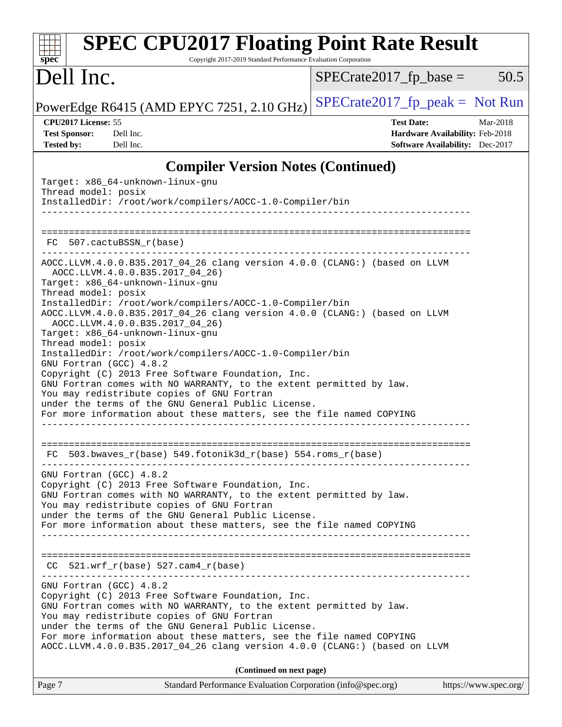| <b>SPEC CPU2017 Floating Point Rate Result</b><br>Copyright 2017-2019 Standard Performance Evaluation Corporation<br>spec <sup>®</sup>                                                                                               |                                                                                                     |
|--------------------------------------------------------------------------------------------------------------------------------------------------------------------------------------------------------------------------------------|-----------------------------------------------------------------------------------------------------|
| Dell Inc.                                                                                                                                                                                                                            | 50.5<br>$SPECrate2017fr base =$                                                                     |
| PowerEdge R6415 (AMD EPYC 7251, 2.10 GHz)                                                                                                                                                                                            | $SPECTate2017_fp\_peak = Not Run$                                                                   |
| CPU2017 License: 55<br><b>Test Sponsor:</b><br>Dell Inc.<br><b>Tested by:</b><br>Dell Inc.                                                                                                                                           | <b>Test Date:</b><br>Mar-2018<br>Hardware Availability: Feb-2018<br>Software Availability: Dec-2017 |
| <b>Compiler Version Notes (Continued)</b>                                                                                                                                                                                            |                                                                                                     |
| Target: x86_64-unknown-linux-gnu<br>Thread model: posix<br>InstalledDir: /root/work/compilers/AOCC-1.0-Compiler/bin                                                                                                                  |                                                                                                     |
| 507.cactuBSSN r(base)<br>FC.                                                                                                                                                                                                         |                                                                                                     |
| AOCC.LLVM.4.0.0.B35.2017_04_26 clang version 4.0.0 (CLANG:) (based on LLVM<br>AOCC.LLVM.4.0.0.B35.2017_04_26)<br>Target: x86_64-unknown-linux-gnu<br>Thread model: posix                                                             |                                                                                                     |
| InstalledDir: /root/work/compilers/AOCC-1.0-Compiler/bin<br>AOCC.LLVM.4.0.0.B35.2017_04_26 clang version 4.0.0 (CLANG:) (based on LLVM<br>AOCC.LLVM.4.0.0.B35.2017_04_26)<br>Target: x86_64-unknown-linux-gnu<br>Thread model: posix |                                                                                                     |
| InstalledDir: /root/work/compilers/AOCC-1.0-Compiler/bin<br>GNU Fortran (GCC) 4.8.2<br>Copyright (C) 2013 Free Software Foundation, Inc.<br>GNU Fortran comes with NO WARRANTY, to the extent permitted by law.                      |                                                                                                     |
| You may redistribute copies of GNU Fortran<br>under the terms of the GNU General Public License.<br>For more information about these matters, see the file named COPYING                                                             |                                                                                                     |
| $503.bwaves_r(base) 549.fotonik3d_r(base) 554.roms_r(base)$<br>FC.                                                                                                                                                                   |                                                                                                     |
| GNU Fortran (GCC) 4.8.2<br>Copyright (C) 2013 Free Software Foundation, Inc.<br>GNU Fortran comes with NO WARRANTY, to the extent permitted by law.<br>You may redistribute copies of GNU Fortran                                    |                                                                                                     |
| under the terms of the GNU General Public License.<br>For more information about these matters, see the file named COPYING                                                                                                           |                                                                                                     |
| $521.wrf_r(base) 527.cam4_r(base)$<br>CC                                                                                                                                                                                             |                                                                                                     |
| GNU Fortran (GCC) 4.8.2<br>Copyright (C) 2013 Free Software Foundation, Inc.<br>GNU Fortran comes with NO WARRANTY, to the extent permitted by law.<br>You may redistribute copies of GNU Fortran                                    |                                                                                                     |
| under the terms of the GNU General Public License.<br>For more information about these matters, see the file named COPYING<br>AOCC.LLVM.4.0.0.B35.2017_04_26 clang version 4.0.0 (CLANG:) (based on LLVM                             |                                                                                                     |
| (Continued on next page)                                                                                                                                                                                                             |                                                                                                     |
| Standard Performance Evaluation Corporation (info@spec.org)<br>Page 7                                                                                                                                                                | https://www.spec.org/                                                                               |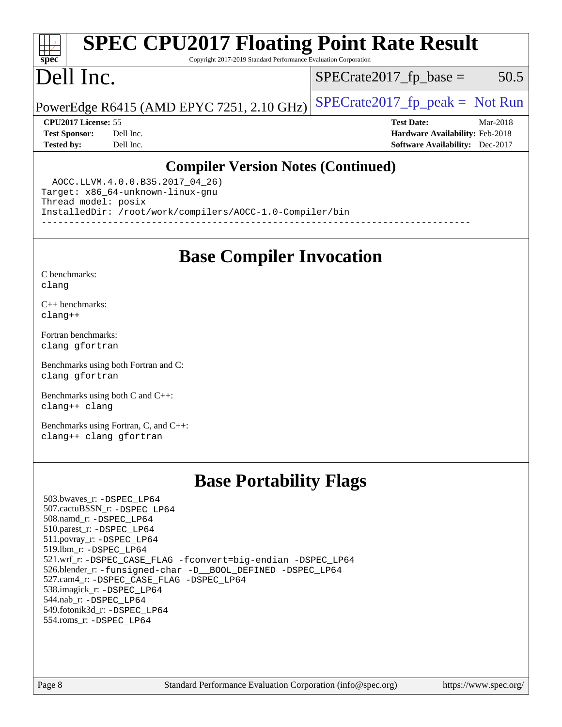### **[spec](http://www.spec.org/) [SPEC CPU2017 Floating Point Rate Result](http://www.spec.org/auto/cpu2017/Docs/result-fields.html#SPECCPU2017FloatingPointRateResult)** Copyright 2017-2019 Standard Performance Evaluation Corporation

# Dell Inc.

 $SPECTate2017<sub>fp</sub> base = 50.5$ 

## PowerEdge R6415 (AMD EPYC 7251, 2.10 GHz)  $\left| \frac{\text{SPECrate2017\_fp\_peak}}{\text{P}} \right| = \text{Not Run}$

**[CPU2017 License:](http://www.spec.org/auto/cpu2017/Docs/result-fields.html#CPU2017License)** 55 **[Test Date:](http://www.spec.org/auto/cpu2017/Docs/result-fields.html#TestDate)** Mar-2018 **[Test Sponsor:](http://www.spec.org/auto/cpu2017/Docs/result-fields.html#TestSponsor)** Dell Inc. **[Hardware Availability:](http://www.spec.org/auto/cpu2017/Docs/result-fields.html#HardwareAvailability)** Feb-2018 **[Tested by:](http://www.spec.org/auto/cpu2017/Docs/result-fields.html#Testedby)** Dell Inc. **[Software Availability:](http://www.spec.org/auto/cpu2017/Docs/result-fields.html#SoftwareAvailability)** Dec-2017

## **[Compiler Version Notes \(Continued\)](http://www.spec.org/auto/cpu2017/Docs/result-fields.html#CompilerVersionNotes)**

 AOCC.LLVM.4.0.0.B35.2017\_04\_26) Target: x86\_64-unknown-linux-gnu Thread model: posix InstalledDir: /root/work/compilers/AOCC-1.0-Compiler/bin ------------------------------------------------------------------------------

**[Base Compiler Invocation](http://www.spec.org/auto/cpu2017/Docs/result-fields.html#BaseCompilerInvocation)**

[C benchmarks](http://www.spec.org/auto/cpu2017/Docs/result-fields.html#Cbenchmarks): [clang](http://www.spec.org/cpu2017/results/res2018q2/cpu2017-20180319-04023.flags.html#user_CCbase_Fclang3)

[C++ benchmarks:](http://www.spec.org/auto/cpu2017/Docs/result-fields.html#CXXbenchmarks) [clang++](http://www.spec.org/cpu2017/results/res2018q2/cpu2017-20180319-04023.flags.html#user_CXXbase_Fclang3_57a48582e5be507d19b2527b3e7d4f85d9b8669ffc9a8a0dbb9bcf949a918a58bbab411e0c4d14a3922022a3e425a90db94042683824c1806feff4324ca1000d)

[Fortran benchmarks](http://www.spec.org/auto/cpu2017/Docs/result-fields.html#Fortranbenchmarks): [clang](http://www.spec.org/cpu2017/results/res2018q2/cpu2017-20180319-04023.flags.html#user_FCbase_Fclang3) [gfortran](http://www.spec.org/cpu2017/results/res2018q2/cpu2017-20180319-04023.flags.html#user_FCbase_gfortran)

[Benchmarks using both Fortran and C](http://www.spec.org/auto/cpu2017/Docs/result-fields.html#BenchmarksusingbothFortranandC): [clang](http://www.spec.org/cpu2017/results/res2018q2/cpu2017-20180319-04023.flags.html#user_CC_FCbase_Fclang3) [gfortran](http://www.spec.org/cpu2017/results/res2018q2/cpu2017-20180319-04023.flags.html#user_CC_FCbase_gfortran)

[Benchmarks using both C and C++](http://www.spec.org/auto/cpu2017/Docs/result-fields.html#BenchmarksusingbothCandCXX): [clang++](http://www.spec.org/cpu2017/results/res2018q2/cpu2017-20180319-04023.flags.html#user_CC_CXXbase_Fclang3_57a48582e5be507d19b2527b3e7d4f85d9b8669ffc9a8a0dbb9bcf949a918a58bbab411e0c4d14a3922022a3e425a90db94042683824c1806feff4324ca1000d) [clang](http://www.spec.org/cpu2017/results/res2018q2/cpu2017-20180319-04023.flags.html#user_CC_CXXbase_Fclang3)

[Benchmarks using Fortran, C, and C++:](http://www.spec.org/auto/cpu2017/Docs/result-fields.html#BenchmarksusingFortranCandCXX) [clang++](http://www.spec.org/cpu2017/results/res2018q2/cpu2017-20180319-04023.flags.html#user_CC_CXX_FCbase_Fclang3_57a48582e5be507d19b2527b3e7d4f85d9b8669ffc9a8a0dbb9bcf949a918a58bbab411e0c4d14a3922022a3e425a90db94042683824c1806feff4324ca1000d) [clang](http://www.spec.org/cpu2017/results/res2018q2/cpu2017-20180319-04023.flags.html#user_CC_CXX_FCbase_Fclang3) [gfortran](http://www.spec.org/cpu2017/results/res2018q2/cpu2017-20180319-04023.flags.html#user_CC_CXX_FCbase_gfortran)

## **[Base Portability Flags](http://www.spec.org/auto/cpu2017/Docs/result-fields.html#BasePortabilityFlags)**

 503.bwaves\_r: [-DSPEC\\_LP64](http://www.spec.org/cpu2017/results/res2018q2/cpu2017-20180319-04023.flags.html#suite_baseEXTRA_PORTABILITY503_bwaves_r_DSPEC_LP64) 507.cactuBSSN\_r: [-DSPEC\\_LP64](http://www.spec.org/cpu2017/results/res2018q2/cpu2017-20180319-04023.flags.html#suite_baseEXTRA_PORTABILITY507_cactuBSSN_r_DSPEC_LP64) 508.namd\_r: [-DSPEC\\_LP64](http://www.spec.org/cpu2017/results/res2018q2/cpu2017-20180319-04023.flags.html#suite_baseEXTRA_PORTABILITY508_namd_r_DSPEC_LP64) 510.parest\_r: [-DSPEC\\_LP64](http://www.spec.org/cpu2017/results/res2018q2/cpu2017-20180319-04023.flags.html#suite_baseEXTRA_PORTABILITY510_parest_r_DSPEC_LP64) 511.povray\_r: [-DSPEC\\_LP64](http://www.spec.org/cpu2017/results/res2018q2/cpu2017-20180319-04023.flags.html#suite_baseEXTRA_PORTABILITY511_povray_r_DSPEC_LP64) 519.lbm\_r: [-DSPEC\\_LP64](http://www.spec.org/cpu2017/results/res2018q2/cpu2017-20180319-04023.flags.html#suite_baseEXTRA_PORTABILITY519_lbm_r_DSPEC_LP64) 521.wrf\_r: [-DSPEC\\_CASE\\_FLAG](http://www.spec.org/cpu2017/results/res2018q2/cpu2017-20180319-04023.flags.html#b521.wrf_r_baseCPORTABILITY_DSPEC_CASE_FLAG) [-fconvert=big-endian](http://www.spec.org/cpu2017/results/res2018q2/cpu2017-20180319-04023.flags.html#user_baseFPORTABILITY521_wrf_r_F-fconvert:big-endian) [-DSPEC\\_LP64](http://www.spec.org/cpu2017/results/res2018q2/cpu2017-20180319-04023.flags.html#suite_baseEXTRA_PORTABILITY521_wrf_r_DSPEC_LP64) 526.blender\_r: [-funsigned-char](http://www.spec.org/cpu2017/results/res2018q2/cpu2017-20180319-04023.flags.html#user_baseCPORTABILITY526_blender_r_F-funsigned-char) [-D\\_\\_BOOL\\_DEFINED](http://www.spec.org/cpu2017/results/res2018q2/cpu2017-20180319-04023.flags.html#b526.blender_r_baseCXXPORTABILITY_D__BOOL_DEFINED) [-DSPEC\\_LP64](http://www.spec.org/cpu2017/results/res2018q2/cpu2017-20180319-04023.flags.html#suite_baseEXTRA_PORTABILITY526_blender_r_DSPEC_LP64) 527.cam4\_r: [-DSPEC\\_CASE\\_FLAG](http://www.spec.org/cpu2017/results/res2018q2/cpu2017-20180319-04023.flags.html#b527.cam4_r_basePORTABILITY_DSPEC_CASE_FLAG) [-DSPEC\\_LP64](http://www.spec.org/cpu2017/results/res2018q2/cpu2017-20180319-04023.flags.html#suite_baseEXTRA_PORTABILITY527_cam4_r_DSPEC_LP64) 538.imagick\_r: [-DSPEC\\_LP64](http://www.spec.org/cpu2017/results/res2018q2/cpu2017-20180319-04023.flags.html#suite_baseEXTRA_PORTABILITY538_imagick_r_DSPEC_LP64) 544.nab\_r: [-DSPEC\\_LP64](http://www.spec.org/cpu2017/results/res2018q2/cpu2017-20180319-04023.flags.html#suite_baseEXTRA_PORTABILITY544_nab_r_DSPEC_LP64) 549.fotonik3d\_r: [-DSPEC\\_LP64](http://www.spec.org/cpu2017/results/res2018q2/cpu2017-20180319-04023.flags.html#suite_baseEXTRA_PORTABILITY549_fotonik3d_r_DSPEC_LP64) 554.roms\_r: [-DSPEC\\_LP64](http://www.spec.org/cpu2017/results/res2018q2/cpu2017-20180319-04023.flags.html#suite_baseEXTRA_PORTABILITY554_roms_r_DSPEC_LP64)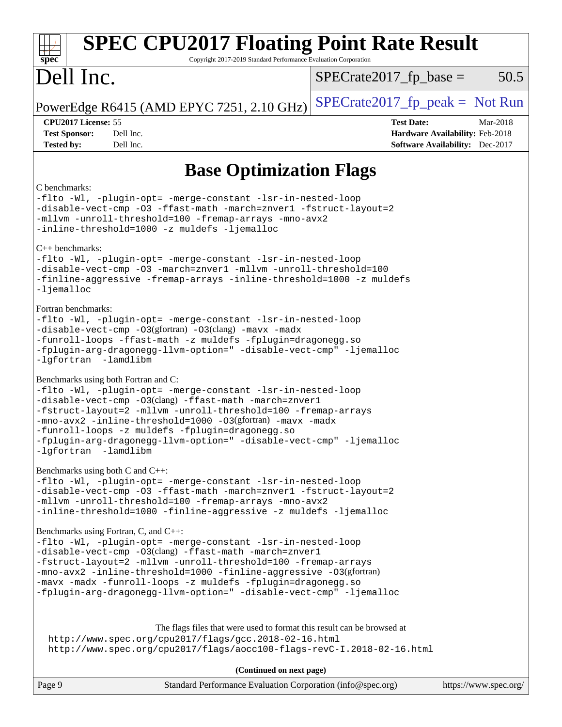| <b>SPEC CPU2017 Floating Point Rate Result</b><br>Copyright 2017-2019 Standard Performance Evaluation Corporation<br>spec <sup>®</sup>                                                                                                                                                                                                                                                                                                        |                                                                                                     |  |  |
|-----------------------------------------------------------------------------------------------------------------------------------------------------------------------------------------------------------------------------------------------------------------------------------------------------------------------------------------------------------------------------------------------------------------------------------------------|-----------------------------------------------------------------------------------------------------|--|--|
| Dell Inc.                                                                                                                                                                                                                                                                                                                                                                                                                                     | $SPECrate2017_fp\_base =$<br>50.5                                                                   |  |  |
| PowerEdge R6415 (AMD EPYC 7251, 2.10 GHz)                                                                                                                                                                                                                                                                                                                                                                                                     | $SPECrate2017_fp\_peak = Not Run$                                                                   |  |  |
| CPU2017 License: 55<br><b>Test Sponsor:</b><br>Dell Inc.<br><b>Tested by:</b><br>Dell Inc.                                                                                                                                                                                                                                                                                                                                                    | <b>Test Date:</b><br>Mar-2018<br>Hardware Availability: Feb-2018<br>Software Availability: Dec-2017 |  |  |
| <b>Base Optimization Flags</b>                                                                                                                                                                                                                                                                                                                                                                                                                |                                                                                                     |  |  |
| C benchmarks:<br>-flto -Wl, -plugin-opt= -merge-constant -lsr-in-nested-loop<br>-disable-vect-cmp -03 -ffast-math -march=znver1 -fstruct-layout=2<br>-mllvm -unroll-threshold=100 -fremap-arrays -mno-avx2<br>-inline-threshold=1000 -z muldefs -ljemalloc                                                                                                                                                                                    |                                                                                                     |  |  |
| $C++$ benchmarks:<br>-flto -Wl, -plugin-opt= -merge-constant -lsr-in-nested-loop<br>-disable-vect-cmp -03 -march=znver1 -mllvm -unroll-threshold=100<br>-finline-aggressive -fremap-arrays -inline-threshold=1000 -z muldefs<br>$-lj$ emalloc                                                                                                                                                                                                 |                                                                                                     |  |  |
| Fortran benchmarks:<br>-flto -Wl, -plugin-opt= -merge-constant -lsr-in-nested-loop<br>-disable-vect-cmp -03(gfortran) -03(clang) -mavx -madx<br>-funroll-loops -ffast-math -z muldefs -fplugin=dragonegg.so<br>-fplugin-arg-dragonegg-llvm-option=" -disable-vect-cmp" -ljemalloc<br>-lgfortran -lamdlibm                                                                                                                                     |                                                                                                     |  |  |
| Benchmarks using both Fortran and C:<br>-flto -Wl, -plugin-opt= -merge-constant -lsr-in-nested-loop<br>-disable-vect-cmp -03(clang) -ffast-math -march=znver1<br>-fstruct-layout=2 -mllvm -unroll-threshold=100 -fremap-arrays<br>-mno-avx2 -inline-threshold=1000 -03(gfortran) -mavx -madx<br>-funroll-loops -z muldefs -fplugin=dragonegg.so<br>-fplugin-arg-dragonegg-llvm-option=" -disable-vect-cmp" -ljemalloc<br>-lgfortran -lamdlibm |                                                                                                     |  |  |
| Benchmarks using both C and C++:<br>-flto -Wl, -plugin-opt= -merge-constant -lsr-in-nested-loop<br>-disable-vect-cmp -03 -ffast-math -march=znver1 -fstruct-layout=2<br>-mllvm -unroll-threshold=100 -fremap-arrays -mno-avx2<br>-inline-threshold=1000 -finline-aggressive -z muldefs -ljemalloc                                                                                                                                             |                                                                                                     |  |  |
| Benchmarks using Fortran, C, and C++:<br>-flto -Wl, -plugin-opt= -merge-constant -lsr-in-nested-loop<br>-disable-vect-cmp -03(clang) -ffast-math -march=znver1<br>-fstruct-layout=2 -mllvm -unroll-threshold=100 -fremap-arrays<br>-mno-avx2 -inline-threshold=1000 -finline-aggressive -03(gfortran)<br>-mavx -madx -funroll-loops -z muldefs -fplugin=dragonegg.so<br>-fplugin-arg-dragonegg-llvm-option=" -disable-vect-cmp" -ljemalloc    |                                                                                                     |  |  |
| The flags files that were used to format this result can be browsed at<br>http://www.spec.org/cpu2017/flags/gcc.2018-02-16.html<br>http://www.spec.org/cpu2017/flags/aocc100-flags-revC-I.2018-02-16.html                                                                                                                                                                                                                                     |                                                                                                     |  |  |
| (Continued on next page)<br>Page 9<br>Standard Performance Evaluation Corporation (info@spec.org)                                                                                                                                                                                                                                                                                                                                             | https://www.spec.org/                                                                               |  |  |